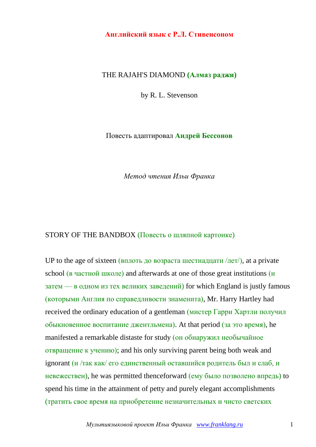## **Английский язык с Р.Л. Стивенсоном**

## THE RAJAH'S DIAMOND **(Алмаз раджи)**

by R. L. Stevenson

Повесть адаптировал **Андрей Бессонов**

*Метод чтения Ильи Франка*

## STORY OF THE BANDBOX (Повесть о шляпной картонке)

UP to the age of sixteen (вплоть до возраста шестнадцати  $\pi/$ ), at a private school (в частной школе) and afterwards at one of those great institutions (и  $3a$ тем — в одном из тех великих заведений) for which England is justly famous (которыми Англия по справедливости знаменита), Mr. Harry Hartley had received the ordinary education of a gentleman (мистер Гарри Хартли получил обыкновенное воспитание джентльмена). At that period (за это время), he manifested a remarkable distaste for study (он обнаружил необычайное отвращение к учению); and his only surviving parent being both weak and ignorant (и /так как/ его единственный оставшийся родитель был и слаб, и невежествен), he was permitted thenceforward (ему было позволено впредь) to spend his time in the attainment of petty and purely elegant accomplishments (тратить свое время на приобретение незначительных и чисто светских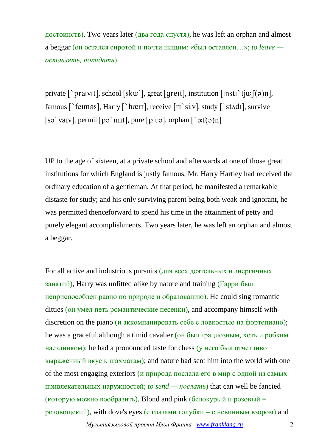достоинств). Two years later (два года спустя), he was left an orphan and almost a beggar (он остался сиротой и почти нищим: «был оставлен…»; *to leave оставлять, покидать*).

private  $\lceil \cdot \rangle$  praivit], school [sku:]], great [greit], institution [insti  $\lceil \cdot \rangle$ tju: $\lceil (\cdot \rangle)$ n], famous [`feimas], Harry [`hæri], receive [ri`si:v], study [`stAdi], survive [sə `vaɪv], permit [pə `mɪt], pure [pjvə], orphan [` $\sigma$ :f(ə)n]

UP to the age of sixteen, at a private school and afterwards at one of those great institutions for which England is justly famous, Mr. Harry Hartley had received the ordinary education of a gentleman. At that period, he manifested a remarkable distaste for study; and his only surviving parent being both weak and ignorant, he was permitted thenceforward to spend his time in the attainment of petty and purely elegant accomplishments. Two years later, he was left an orphan and almost a beggar.

For all active and industrious pursuits (для всех деятельных и энергичных занятий), Harry was unfitted alike by nature and training (Гарри был неприспособлен равно по природе и образованию). He could sing romantic ditties (он умел петь романтические песенки), and accompany himself with discretion on the piano (и аккомпанировать себе с ловкостью на фортепиано); he was a graceful although a timid cavalier (он был грациозным, хоть и робким наездником); he had a pronounced taste for chess (у него был отчетливо выраженный вкус к шахматам); and nature had sent him into the world with one of the most engaging exteriors (и природа послала его в мир с одной из самых привлекательных наружностей; *to send — послать*) that can well be fancied (которую можно вообразить). Blond and pink (белокурый и розовый = розовощекий), with dove's eyes (с глазами голубки = с невинным взором) and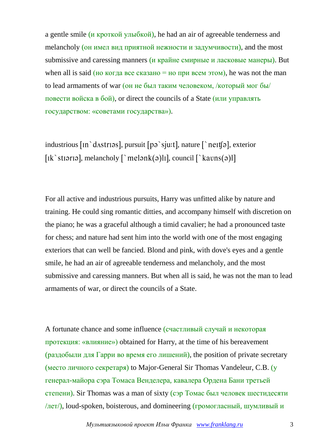a gentle smile (и кроткой улыбкой), he had an air of agreeable tenderness and melancholy (он имел вид приятной нежности и задумчивости), and the most submissive and caressing manners (*и крайне смирные и ласковые манеры*). But when all is said (но когда все сказано = но при всем этом), he was not the man to lead armaments of war (он не был таким человеком, /который мог бы/ повести войска в бой), or direct the councils of a State (или управлять государством: «советами государства»).

industrious  $\lceil \ln \text{`dastr} \rceil$ , pursuit  $\lceil p \rceil$  sju:t], nature  $\lceil \text{`ne} \rceil$ , exterior [ik`stiaria], melancholy  $\lceil \text{melenk(a)}\rceil$ ], council  $\lceil \text{kavns(a)}\rceil$ 

For all active and industrious pursuits, Harry was unfitted alike by nature and training. He could sing romantic ditties, and accompany himself with discretion on the piano; he was a graceful although a timid cavalier; he had a pronounced taste for chess; and nature had sent him into the world with one of the most engaging exteriors that can well be fancied. Blond and pink, with dove's eyes and a gentle smile, he had an air of agreeable tenderness and melancholy, and the most submissive and caressing manners. But when all is said, he was not the man to lead armaments of war, or direct the councils of a State.

A fortunate chance and some influence (счастливый случай и некоторая протекция: «влияние») obtained for Harry, at the time of his bereavement (раздобыли для Гарри во время его лишений), the position of private secretary (место личного секретаря) to Major-General Sir Thomas Vandeleur, C.B. (у генерал-майора сэра Томаса Венделера, кавалера Ордена Бани третьей степени). Sir Thomas was a man of sixty (сэр Томас был человек шестидесяти /лет/), loud-spoken, boisterous, and domineering (громогласный, шумливый и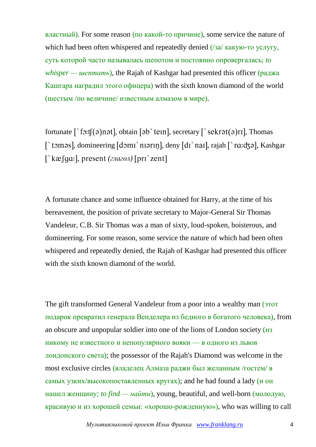властный). For some reason (по какой-то причине), some service the nature of which had been often whispered and repeatedly denied (/за/ какую-то услугу, суть которой часто называлась шепотом и постоянно опровергалась; *to whisper — шептать*), the Rajah of Kashgar had presented this officer (раджа Кашгара наградил этого офицера) with the sixth known diamond of the world (шестым /по величине/ известным алмазом в мире).

fortunate  $\lceil \frac{1}{2} \cdot \frac{1}{2} \cdot \frac{1}{2} \cdot \frac{1}{2} \cdot \frac{1}{2} \cdot \frac{1}{2} \cdot \frac{1}{2} \cdot \frac{1}{2} \cdot \frac{1}{2} \cdot \frac{1}{2} \cdot \frac{1}{2} \cdot \frac{1}{2} \cdot \frac{1}{2} \cdot \frac{1}{2} \cdot \frac{1}{2} \cdot \frac{1}{2} \cdot \frac{1}{2} \cdot \frac{1}{2} \cdot \frac{1}{2} \cdot \frac{1}{2} \cdot \frac{1}{2} \cdot \frac{1}{2} \cdot \frac{1}{2} \cdot$ [`tomas], domineering  $[dom\Gamma\$ narın], deny  $[dir\$ nar], rajah  $[\Gamma\]$ ra:d $\zeta$ a], Kashgar <sup>k</sup> kæ [gɑː], present (глагол) [prɪ`zent]

A fortunate chance and some influence obtained for Harry, at the time of his bereavement, the position of private secretary to Major-General Sir Thomas Vandeleur, C.B. Sir Thomas was a man of sixty, loud-spoken, boisterous, and domineering. For some reason, some service the nature of which had been often whispered and repeatedly denied, the Rajah of Kashgar had presented this officer with the sixth known diamond of the world.

The gift transformed General Vandeleur from a poor into a wealthy man ( $\overline{3}$ Tor подарок превратил генерала Венделера из бедного в богатого человека), from an obscure and unpopular soldier into one of the lions of London society (из никому не известного и непопулярного вояки — в одного из львов лондонского света); the possessor of the Rajah's Diamond was welcome in the most exclusive circles (владелец Алмаза раджи был желанным /гостем/ в самых узких/высокопоставленных кругах); and he had found a lady (и он нашел женщину; *to find — найти*), young, beautiful, and well-born (молодую, красивую и из хорошей семьи: «хорошо-рожденную»), who was willing to call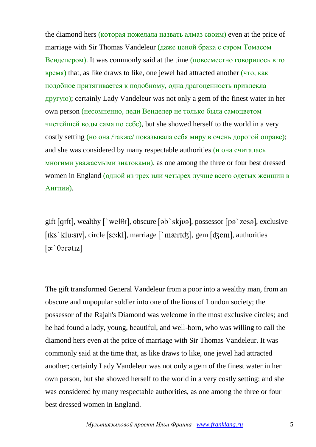the diamond hers (которая пожелала назвать алмаз своим) even at the price of marriage with Sir Thomas Vandeleur (даже ценой брака с сэром Томасом Венделером). It was commonly said at the time (повсеместно говорилось в то время) that, as like draws to like, one jewel had attracted another (что, как подобное притягивается к подобному, одна драгоценность привлекла другую); certainly Lady Vandeleur was not only a gem of the finest water in her own person (несомненно, леди Венделер не только была самоцветом чистейшей воды сама по себе), but she showed herself to the world in a very costly setting (но она /также/ показывала себя миру в очень дорогой оправе); and she was considered by many respectable authorities (и она считалась многими уважаемыми знатоками), as one among the three or four best dressed women in England (одной из трех или четырех лучше всего одетых женщин в Англии).

gift [qɪft], wealthy  $\lceil \nabla \cdot \mathbf{w} \cdot \mathbf{e} \cdot \mathbf{w} \cdot \mathbf{w} \cdot \mathbf{w} \cdot \mathbf{w} \cdot \mathbf{w} \cdot \mathbf{w} \cdot \mathbf{w} \cdot \mathbf{w} \cdot \mathbf{w} \cdot \mathbf{w} \cdot \mathbf{w} \cdot \mathbf{w} \cdot \mathbf{w} \cdot \mathbf{w} \cdot \mathbf{w} \cdot \mathbf{w} \cdot \mathbf{w} \cdot \mathbf{w} \cdot \mathbf{w} \cdot \mathbf{w} \cdot \mathbf{w} \cdot \mathbf{w}$ [ $iks$ <sup>'</sup>klu:siv], circle [ $s$ ə:k]], marriage  $\lceil$ 'mæridz], gem [dzem], authorities  $[x:\theta \text{}]\$ 

The gift transformed General Vandeleur from a poor into a wealthy man, from an obscure and unpopular soldier into one of the lions of London society; the possessor of the Rajah's Diamond was welcome in the most exclusive circles; and he had found a lady, young, beautiful, and well-born, who was willing to call the diamond hers even at the price of marriage with Sir Thomas Vandeleur. It was commonly said at the time that, as like draws to like, one jewel had attracted another; certainly Lady Vandeleur was not only a gem of the finest water in her own person, but she showed herself to the world in a very costly setting; and she was considered by many respectable authorities, as one among the three or four best dressed women in England.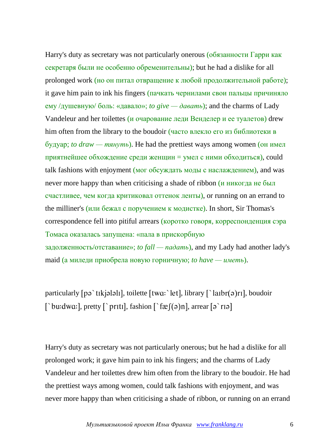Harry's duty as secretary was not particularly onerous (обязанности Гарри как секретаря были не особенно обременительны); but he had a dislike for all prolonged work (но он питал отвращение к любой продолжительной работе); it gave him pain to ink his fingers (пачкать чернилами свои пальцы причиняло ему /душевную/ боль: «давало»; *to give* — *давать*); and the charms of Lady Vandeleur and her toilettes (и очарование леди Венделер и ее туалетов) drew him often from the library to the boudoir (часто влекло его из библиотеки в будуар; *to draw — тянуть*). He had the prettiest ways among women (он имел приятнейшее обхождение среди женщин = умел с ними обходиться), could talk fashions with enjoyment (мог обсуждать моды с наслаждением), and was never more happy than when criticising a shade of ribbon (и никогда не был счастливее, чем когда критиковал оттенок ленты), or running on an errand to the milliner's (или бежал с поручением к модистке). In short, Sir Thomas's correspondence fell into pitiful arrears (коротко говоря, корреспонденция сэра Томаса оказалась запущена: «пала в прискорбную задолженность/отставание»; *to fall — падать*), and my Lady had another lady's maid (а миледи приобрела новую горничную; *to have — иметь*).

particularly  $[p\phi^{\text{th}}(t)]$ , toilette  $[tw\alpha^{\text{th}}(t)]$ , library  $[\text{at}(\phi)t]$ , boudoir [`bu:dwa:], pretty [`priti], fashion [`fæf(ə)n], arrear [ə`riə]

Harry's duty as secretary was not particularly onerous; but he had a dislike for all prolonged work; it gave him pain to ink his fingers; and the charms of Lady Vandeleur and her toilettes drew him often from the library to the boudoir. He had the prettiest ways among women, could talk fashions with enjoyment, and was never more happy than when criticising a shade of ribbon, or running on an errand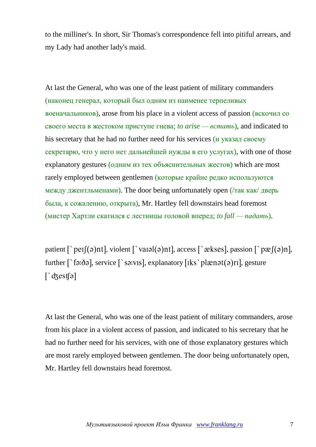to the milliner's. In short, Sir Thomas's correspondence fell into pitiful arrears, and my Lady had another lady's maid.

At last the General, who was one of the least patient of military commanders (наконец генерал, который был одним из наименее терпеливых военачальников), arose from his place in a violent access of passion (вскочил со своего места в жестоком приступе гнева; *to arise — встать*), and indicated to his secretary that he had no further need for his services (*и* указал своему секретарю, что у него нет дальнейшей нужды в его услугах), with one of those explanatory gestures (одним из тех объяснительных жестов) which are most rarely employed between gentlemen (которые крайне редко используются между джентльменами). The door being unfortunately open (/так как/ дверь была, к сожалению, открыта), Mr. Hartley fell downstairs head foremost (мистер Хартли скатился с лестницы головой вперед; *to fall — падать*).

patient  $\lceil \Delta p e(f(\sigma))$ nt, violent  $\lceil \Delta p e(f(\sigma))$ nt, access  $\lceil \Delta p e(f(\sigma)) \rceil$ , passion  $\lceil \Delta p e(f(\sigma)) \rceil$ , further  $\lceil \frac{1}{2} \cdot \delta \cdot \delta \rceil$ , service  $\lceil \frac{1}{2} \cdot \delta \cdot \delta \cdot \delta \rceil$ , explanatory  $\lceil \frac{1}{2} \cdot \delta \cdot \delta \rceil$ , gesture  $\int$  dzestfal

At last the General, who was one of the least patient of military commanders, arose from his place in a violent access of passion, and indicated to his secretary that he had no further need for his services, with one of those explanatory gestures which are most rarely employed between gentlemen. The door being unfortunately open, Mr. Hartley fell downstairs head foremost.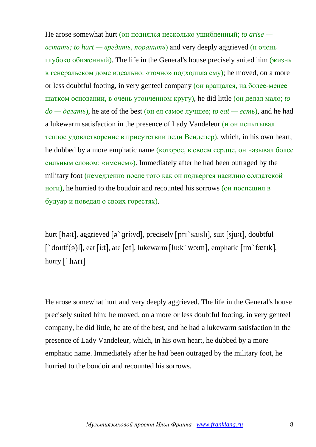He arose somewhat hurt (он поднялся несколько ушибленный; *to arise встать; to hurt — вредить, поранить*) and very deeply aggrieved (и очень глубоко обиженный). The life in the General's house precisely suited him (жизнь в генеральском доме идеально: «точно» подходила ему); he moved, on a more or less doubtful footing, in very genteel company (он вращался, на более-менее шатком основании, в очень утонченном кругу), he did little (он делал мало; *to do — делать*), he ate of the best (он ел самое лучшее; *to eat — есть*), and he had a lukewarm satisfaction in the presence of Lady Vandeleur (и он испытывал теплое удовлетворение в присутствии леди Венделер), which, in his own heart, he dubbed by a more emphatic name (которое, в своем сердце, он называл более сильным словом: «именем»). Immediately after he had been outraged by the military foot (немедленно после того как он подвергся насилию солдатской ноги), he hurried to the boudoir and recounted his sorrows (он поспешил в будуар и поведал о своих горестях).

hurt [hə:t], aggrieved  $\lceil \varphi \rceil$  gri:vd], precisely  $\lceil \varphi \rceil$  saisli], suit  $\lceil \varphi \rceil$ , doubtful  $\int \hat{\mathcal{L}}$  at [i:t], at [et], lukewarm  $\lceil \ln(k \cdot w \cdot m) \rceil$ , emphatic  $\lceil \ln \hat{\mathcal{L}} \cdot k \cdot n \rceil$ , hurry  $\lceil \cdot \frac{h}{r} \rceil$ 

He arose somewhat hurt and very deeply aggrieved. The life in the General's house precisely suited him; he moved, on a more or less doubtful footing, in very genteel company, he did little, he ate of the best, and he had a lukewarm satisfaction in the presence of Lady Vandeleur, which, in his own heart, he dubbed by a more emphatic name. Immediately after he had been outraged by the military foot, he hurried to the boudoir and recounted his sorrows.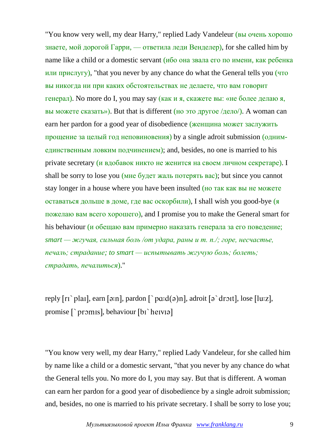"You know very well, my dear Harry," replied Lady Vandeleur (вы очень хорошо знаете, мой дорогой Гарри, — ответила леди Венделер), for she called him by name like a child or a domestic servant  $\overline{(h60 \text{ oHa } 3B4J4a \text{ eTo no IMCHH})}$ , как ребенка или прислугу), "that you never by any chance do what the General tells you (что вы никогда ни при каких обстоятельствах не делаете, что вам говорит генерал). No more do I, you may say (как и я, скажете вы: «не более делаю я, вы можете сказать»). But that is different (но это другое  $/q$ ело/). A woman can earn her pardon for a good year of disobedience (женщина может заслужить прощение за целый год неповиновения) by a single adroit submission (однимединственным ловким подчинением); and, besides, no one is married to his private secretary (и вдобавок никто не женится на своем личном секретаре). I shall be sorry to lose you (мне будет жаль потерять вас); but since you cannot stay longer in a house where you have been insulted (но так как вы не можете оставаться дольше в доме, где вас оскорбили), I shall wish you good-bye (я пожелаю вам всего хорошего), and I promise you to make the General smart for his behaviour (и обещаю вам примерно наказать генерала за его поведение; *smart — жгучая, сильная боль /от удара, раны и т. п./; горе, несчастье, печаль; страдание; to smart — испытывать жгучую боль; болеть; страдать, печалиться*)."

reply  $[r_1]$  plail, earn  $[\exists n]$ , pardon  $[\ ]$  pa: $d(\exists n)$ , adroit  $[\exists \ ]$  dr $\exists$ itl, lose  $[lu:z]$ , promise [`promis], behaviour [bi`heivia]

"You know very well, my dear Harry," replied Lady Vandeleur, for she called him by name like a child or a domestic servant, "that you never by any chance do what the General tells you. No more do I, you may say. But that is different. A woman can earn her pardon for a good year of disobedience by a single adroit submission; and, besides, no one is married to his private secretary. I shall be sorry to lose you;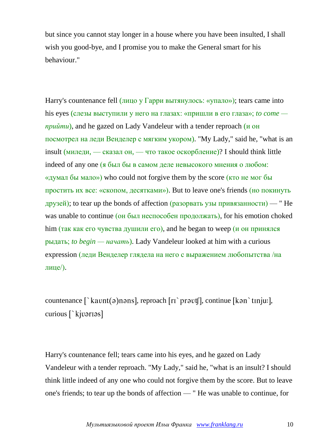but since you cannot stay longer in a house where you have been insulted, I shall wish you good-bye, and I promise you to make the General smart for his behaviour."

Harry's countenance fell (лицо у Гарри вытянулось: «упало»); tears came into his eyes (слезы выступили у него на глазах: «пришли в его глаза»; *to come прийти*), and he gazed on Lady Vandeleur with a tender reproach (и он посмотрел на леди Венделер с мягким укором). "My Lady," said he, "what is an insult (миледи, — сказал он, — что такое оскорбление)? I should think little indeed of any one (я был бы в самом деле невысокого мнения о любом: «думал бы мало») who could not forgive them by the score (кто не мог бы простить их все: «скопом, десятками»). But to leave one's friends (но покинуть друзей); to tear up the bonds of affection (разорвать узы привязанности) — " He was unable to continue (он был неспособен продолжать), for his emotion choked him (так как его чувства душили его), and he began to weep ( $\mu$  он принялся рыдать; *to begin — начать*). Lady Vandeleur looked at him with a curious expression (леди Венделер глядела на него с выражением любопытства /на лице/).

countenance  $\lceil \text{`kavnt}(a)$ nans], reproach  $\lceil \text{r̃i'} \rceil$  pravt $\lceil \text{!}, \text{continue } \lceil \text{`kan} \rceil$  tin $\lceil \text{u:} \rceil$ , curious [`kjvarias]

Harry's countenance fell; tears came into his eyes, and he gazed on Lady Vandeleur with a tender reproach. "My Lady," said he, "what is an insult? I should think little indeed of any one who could not forgive them by the score. But to leave one's friends; to tear up the bonds of affection — " He was unable to continue, for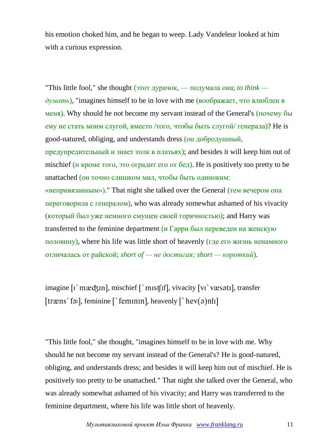his emotion choked him, and he began to weep. Lady Vandeleur looked at him with a curious expression.

"This little fool," she thought (этот дурачок, — подумала она; *to think думать*), "imagines himself to be in love with me (воображает, что влюблен в меня). Why should he not become my servant instead of the General's (почему бы ему не стать моим слугой, вместо /того, чтобы быть слугой/ генерала)? He is good-natured, obliging, and understands dress (он добродушный, предупредительный и знает толк в платьях); and besides it will keep him out of mischief (*и кроме того*, это оградит его от бед). He is positively too pretty to be unattached (он точно слишком мил, чтобы быть одиноким: «непривязанным»)." That night she talked over the General (тем вечером она переговорила с генералом), who was already somewhat ashamed of his vivacity (который был уже немного смущен своей горячностью); and Harry was transferred to the feminine department ( $\mu$  Гарри был переведен на женскую половину), where his life was little short of heavenly (где его жизнь ненамного отличалась от райской; *short of — не достигая; short — короткий*).

imagine  $\lceil \cdot \rceil$  mxedzin], mischief  $\lceil \cdot \cdot \rceil$  mist  $\lceil \cdot \rceil$ , vivacity  $\lceil \cdot \rceil$  væs $\lceil \cdot \rceil$ , transfer [træns`fə:], feminine [`feminin], heavenly  $\lceil$ `hev $(a)$ nlı]

"This little fool," she thought, "imagines himself to be in love with me. Why should he not become my servant instead of the General's? He is good-natured, obliging, and understands dress; and besides it will keep him out of mischief. He is positively too pretty to be unattached." That night she talked over the General, who was already somewhat ashamed of his vivacity; and Harry was transferred to the feminine department, where his life was little short of heavenly.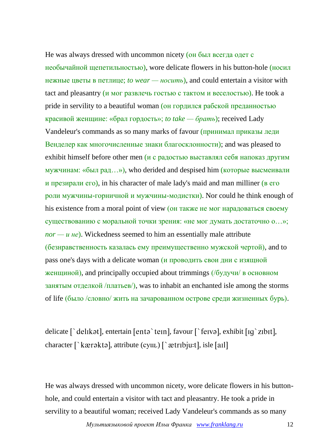He was always dressed with uncommon nicety (он был всегда одет с

необычайной щепетильностью), wore delicate flowers in his button-hole (носил нежные цветы в петлице; *to wear — носить*), and could entertain a visitor with tact and pleasantry ( $\mu$  мог развлечь гостью с тактом и веселостью). He took a pride in servility to a beautiful woman (он гордился рабской преданностью красивой женщине: «брал гордость»; *to take — брать*); received Lady Vandeleur's commands as so many marks of favour (принимал приказы леди Венделер как многочисленные знаки благосклонности); and was pleased to exhibit himself before other men ( $\mu$  с радостью выставлял себя напоказ другим мужчинам: «был рад…»), who derided and despised him (которые высмеивали и презирали его), in his character of male lady's maid and man milliner (в его роли мужчины-горничной и мужчины-модистки). Nor could he think enough of his existence from a moral point of view (он также не мог нарадоваться своему существованию с моральной точки зрения: «не мог думать достаточно о…»;  $\eta$ *nor* — *u He*). Wickedness seemed to him an essentially male attribute (безнравственность казалась ему преимущественно мужской чертой), and to pass one's days with a delicate woman ( $\mu$  проводить свои дни с изящной женщиной), and principally occupied about trimmings (/будучи/ в основном занятым отделкой /платьев/), was to inhabit an enchanted isle among the storms of life (было /словно/ жить на зачарованном острове среди жизненных бурь).

delicate  $\lceil \cdot \text{delikət} \rceil$ , entertain  $\lceil \text{entə } \cdot \text{ten} \rceil$ , favour  $\lceil \cdot \text{fewə} \rceil$ , exhibit  $\lceil \text{lg } \cdot \text{zibit} \rceil$ , character [`kærəktə], attribute (сущ.) [`ætrɪbju:t], isle [aɪl]

He was always dressed with uncommon nicety, wore delicate flowers in his buttonhole, and could entertain a visitor with tact and pleasantry. He took a pride in servility to a beautiful woman; received Lady Vandeleur's commands as so many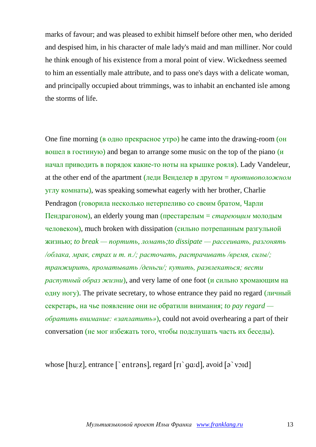marks of favour; and was pleased to exhibit himself before other men, who derided and despised him, in his character of male lady's maid and man milliner. Nor could he think enough of his existence from a moral point of view. Wickedness seemed to him an essentially male attribute, and to pass one's days with a delicate woman, and principally occupied about trimmings, was to inhabit an enchanted isle among the storms of life.

One fine morning (в одно прекрасное утро) he came into the drawing-room (он вошел в гостиную) and began to arrange some music on the top of the piano (и начал приводить в порядок какие-то ноты на крышке рояля). Lady Vandeleur, at the other end of the apartment (леди Венделер в другом = *противоположном* углу комнаты), was speaking somewhat eagerly with her brother, Charlie Pendragon (говорила несколько нетерпеливо со своим братом, Чарли Пендрагоном), an elderly young man (престарелым = *стареющим* молодым человеком), much broken with dissipation (сильно потрепанным разгульной жизнью; *to break — портить, ломать;to dissipate — рассеивать, разгонять /облака, мрак, страх и т. п./; расточать, растрачивать /время, силы/; транжирить, проматывать /деньги/; кутить, развлекаться; вести распутный образ жизни*), and very lame of one foot (и сильно хромающим на одну ногу). The private secretary, to whose entrance they paid no regard (личный секретарь, на чье появление они не обратили внимания; *to pay regard обратить внимание: «заплатить»*), could not avoid overhearing a part of their conversation (не мог избежать того, чтобы подслушать часть их беседы).

whose [hu:z], entrance [`entrans], regard  $[ri$  ga:d], avoid  $[a$  void]